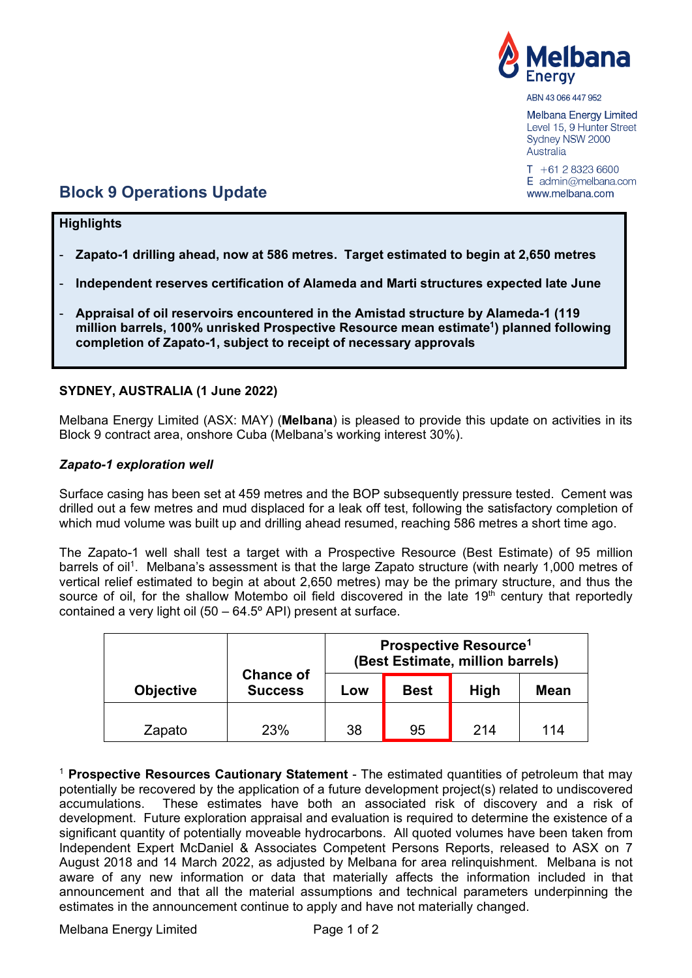

ABN 43 066 447 952

**Melbana Energy Limited** Level 15, 9 Hunter Street Sydney NSW 2000 Australia

 $T + 61283236600$  $E$  admin@melbana.com www.melbana.com

# **Block 9 Operations Update**

### **Highlights**

- **Zapato-1 drilling ahead, now at 586 metres. Target estimated to begin at 2,650 metres**
- **Independent reserves certification of Alameda and Marti structures expected late June**
- **Appraisal of oil reservoirs encountered in the Amistad structure by Alameda-1 (119 million barrels, 100% unrisked Prospective Resource mean estimate1) planned following completion of Zapato-1, subject to receipt of necessary approvals**

### **SYDNEY, AUSTRALIA (1 June 2022)**

Melbana Energy Limited (ASX: MAY) (**Melbana**) is pleased to provide this update on activities in its Block 9 contract area, onshore Cuba (Melbana's working interest 30%).

#### *Zapato-1 exploration well*

Surface casing has been set at 459 metres and the BOP subsequently pressure tested. Cement was drilled out a few metres and mud displaced for a leak off test, following the satisfactory completion of which mud volume was built up and drilling ahead resumed, reaching 586 metres a short time ago.

The Zapato-1 well shall test a target with a Prospective Resource (Best Estimate) of 95 million barrels of oil<sup>1</sup>. Melbana's assessment is that the large Zapato structure (with nearly 1,000 metres of vertical relief estimated to begin at about 2,650 metres) may be the primary structure, and thus the source of oil, for the shallow Motembo oil field discovered in the late  $19<sup>th</sup>$  century that reportedly contained a very light oil (50 – 64.5º API) present at surface.

|                  | <b>Chance of</b><br><b>Success</b> | <b>Prospective Resource<sup>1</sup></b><br>(Best Estimate, million barrels) |             |             |             |
|------------------|------------------------------------|-----------------------------------------------------------------------------|-------------|-------------|-------------|
| <b>Objective</b> |                                    | Low                                                                         | <b>Best</b> | <b>High</b> | <b>Mean</b> |
| Zapato           | 23%                                | 38                                                                          | 95          | 214         | 114         |

<sup>1</sup> **Prospective Resources Cautionary Statement** - The estimated quantities of petroleum that may potentially be recovered by the application of a future development project(s) related to undiscovered accumulations. These estimates have both an associated risk of discovery and a risk of development. Future exploration appraisal and evaluation is required to determine the existence of a significant quantity of potentially moveable hydrocarbons. All quoted volumes have been taken from Independent Expert McDaniel & Associates Competent Persons Reports, released to ASX on 7 August 2018 and 14 March 2022, as adjusted by Melbana for area relinquishment. Melbana is not aware of any new information or data that materially affects the information included in that announcement and that all the material assumptions and technical parameters underpinning the estimates in the announcement continue to apply and have not materially changed.